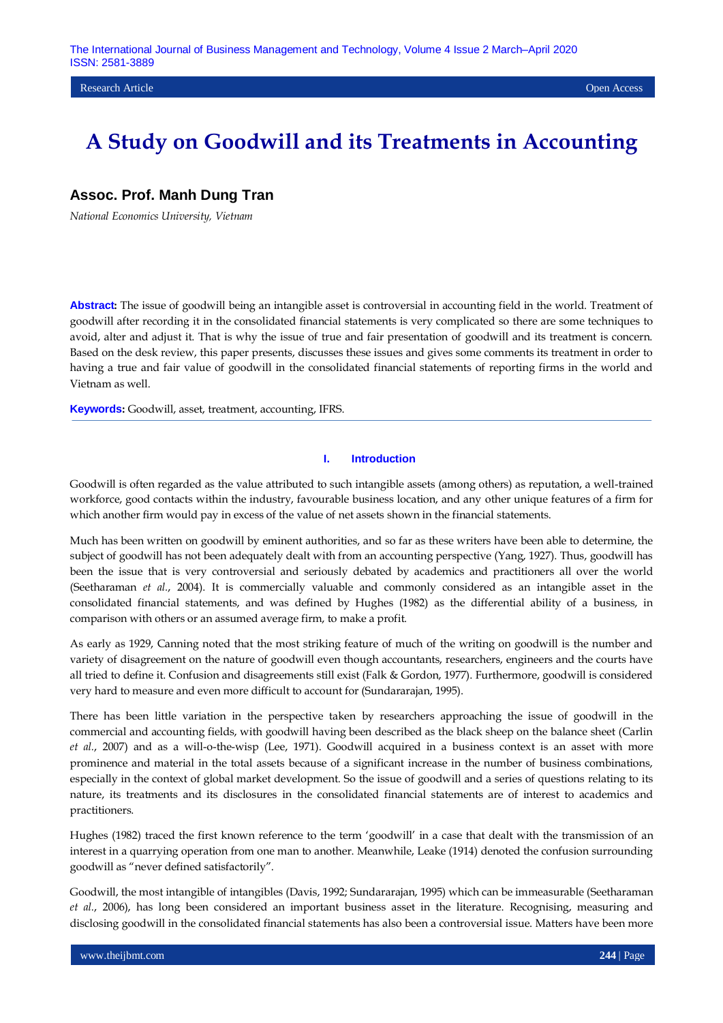## **Assoc. Prof. Manh Dung Tran**

*National Economics University, Vietnam*

**Abstract:** The issue of goodwill being an intangible asset is controversial in accounting field in the world. Treatment of goodwill after recording it in the consolidated financial statements is very complicated so there are some techniques to avoid, alter and adjust it. That is why the issue of true and fair presentation of goodwill and its treatment is concern. Based on the desk review, this paper presents, discusses these issues and gives some comments its treatment in order to having a true and fair value of goodwill in the consolidated financial statements of reporting firms in the world and Vietnam as well.

**Keywords:** Goodwill, asset, treatment, accounting, IFRS.

#### **I. Introduction**

Goodwill is often regarded as the value attributed to such intangible assets (among others) as reputation, a well-trained workforce, good contacts within the industry, favourable business location, and any other unique features of a firm for which another firm would pay in excess of the value of net assets shown in the financial statements.

Much has been written on goodwill by eminent authorities, and so far as these writers have been able to determine, the subject of goodwill has not been adequately dealt with from an accounting perspective (Yang, 1927). Thus, goodwill has been the issue that is very controversial and seriously debated by academics and practitioners all over the world (Seetharaman *et al.*, 2004). It is commercially valuable and commonly considered as an intangible asset in the consolidated financial statements, and was defined by Hughes (1982) as the differential ability of a business, in comparison with others or an assumed average firm, to make a profit.

As early as 1929, Canning noted that the most striking feature of much of the writing on goodwill is the number and variety of disagreement on the nature of goodwill even though accountants, researchers, engineers and the courts have all tried to define it. Confusion and disagreements still exist (Falk & Gordon, 1977). Furthermore, goodwill is considered very hard to measure and even more difficult to account for (Sundararajan, 1995).

There has been little variation in the perspective taken by researchers approaching the issue of goodwill in the commercial and accounting fields, with goodwill having been described as the black sheep on the balance sheet (Carlin *et al.*, 2007) and as a will-o-the-wisp (Lee, 1971). Goodwill acquired in a business context is an asset with more prominence and material in the total assets because of a significant increase in the number of business combinations, especially in the context of global market development. So the issue of goodwill and a series of questions relating to its nature, its treatments and its disclosures in the consolidated financial statements are of interest to academics and practitioners.

Hughes (1982) traced the first known reference to the term "goodwill" in a case that dealt with the transmission of an interest in a quarrying operation from one man to another. Meanwhile, Leake (1914) denoted the confusion surrounding goodwill as "never defined satisfactorily".

Goodwill, the most intangible of intangibles (Davis, 1992; Sundararajan, 1995) which can be immeasurable (Seetharaman *et al.*, 2006), has long been considered an important business asset in the literature. Recognising, measuring and disclosing goodwill in the consolidated financial statements has also been a controversial issue. Matters have been more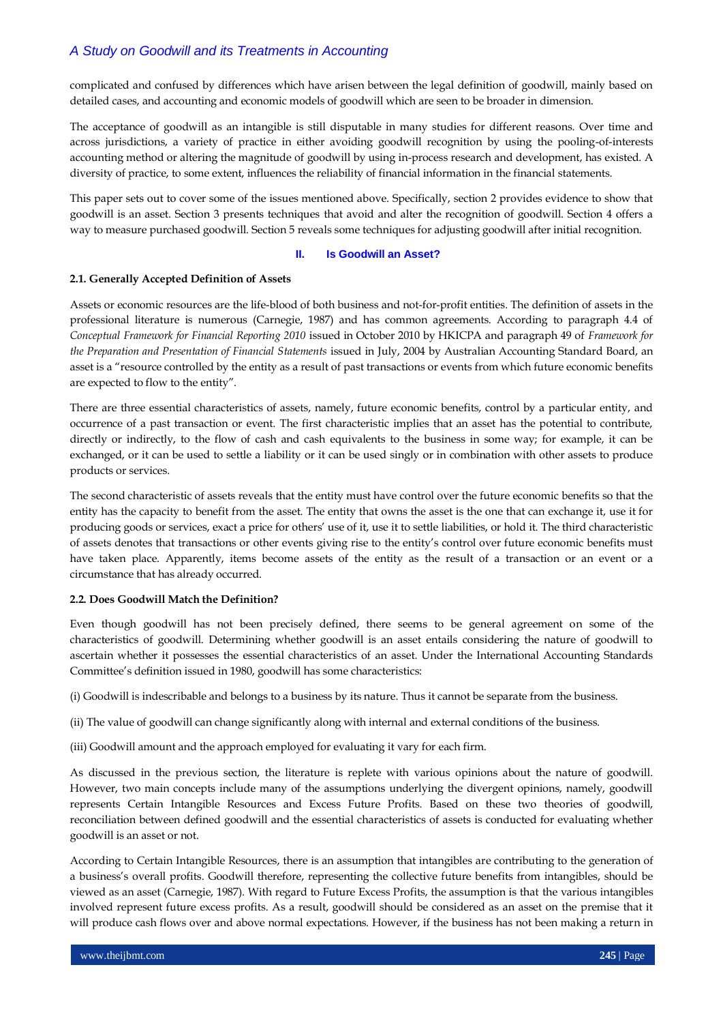complicated and confused by differences which have arisen between the legal definition of goodwill, mainly based on detailed cases, and accounting and economic models of goodwill which are seen to be broader in dimension.

The acceptance of goodwill as an intangible is still disputable in many studies for different reasons. Over time and across jurisdictions, a variety of practice in either avoiding goodwill recognition by using the pooling-of-interests accounting method or altering the magnitude of goodwill by using in-process research and development, has existed. A diversity of practice, to some extent, influences the reliability of financial information in the financial statements.

This paper sets out to cover some of the issues mentioned above. Specifically, section 2 provides evidence to show that goodwill is an asset. Section 3 presents techniques that avoid and alter the recognition of goodwill. Section 4 offers a way to measure purchased goodwill. Section 5 reveals some techniques for adjusting goodwill after initial recognition.

#### **II. Is Goodwill an Asset?**

#### **2.1. Generally Accepted Definition of Assets**

Assets or economic resources are the life-blood of both business and not-for-profit entities. The definition of assets in the professional literature is numerous (Carnegie, 1987) and has common agreements. According to paragraph 4.4 of *Conceptual Framework for Financial Reporting 2010* issued in October 2010 by HKICPA and paragraph 49 of *Framework for the Preparation and Presentation of Financial Statements* issued in July, 2004 by Australian Accounting Standard Board, an asset is a "resource controlled by the entity as a result of past transactions or events from which future economic benefits are expected to flow to the entity".

There are three essential characteristics of assets, namely, future economic benefits, control by a particular entity, and occurrence of a past transaction or event. The first characteristic implies that an asset has the potential to contribute, directly or indirectly, to the flow of cash and cash equivalents to the business in some way; for example, it can be exchanged, or it can be used to settle a liability or it can be used singly or in combination with other assets to produce products or services.

The second characteristic of assets reveals that the entity must have control over the future economic benefits so that the entity has the capacity to benefit from the asset. The entity that owns the asset is the one that can exchange it, use it for producing goods or services, exact a price for others" use of it, use it to settle liabilities, or hold it. The third characteristic of assets denotes that transactions or other events giving rise to the entity"s control over future economic benefits must have taken place. Apparently, items become assets of the entity as the result of a transaction or an event or a circumstance that has already occurred.

#### **2.2. Does Goodwill Match the Definition?**

Even though goodwill has not been precisely defined, there seems to be general agreement on some of the characteristics of goodwill. Determining whether goodwill is an asset entails considering the nature of goodwill to ascertain whether it possesses the essential characteristics of an asset. Under the International Accounting Standards Committee"s definition issued in 1980, goodwill has some characteristics:

(i) Goodwill is indescribable and belongs to a business by its nature. Thus it cannot be separate from the business.

(ii) The value of goodwill can change significantly along with internal and external conditions of the business.

(iii) Goodwill amount and the approach employed for evaluating it vary for each firm.

As discussed in the previous section, the literature is replete with various opinions about the nature of goodwill. However, two main concepts include many of the assumptions underlying the divergent opinions, namely, goodwill represents Certain Intangible Resources and Excess Future Profits. Based on these two theories of goodwill, reconciliation between defined goodwill and the essential characteristics of assets is conducted for evaluating whether goodwill is an asset or not.

According to Certain Intangible Resources, there is an assumption that intangibles are contributing to the generation of a business"s overall profits. Goodwill therefore, representing the collective future benefits from intangibles, should be viewed as an asset (Carnegie, 1987). With regard to Future Excess Profits, the assumption is that the various intangibles involved represent future excess profits. As a result, goodwill should be considered as an asset on the premise that it will produce cash flows over and above normal expectations. However, if the business has not been making a return in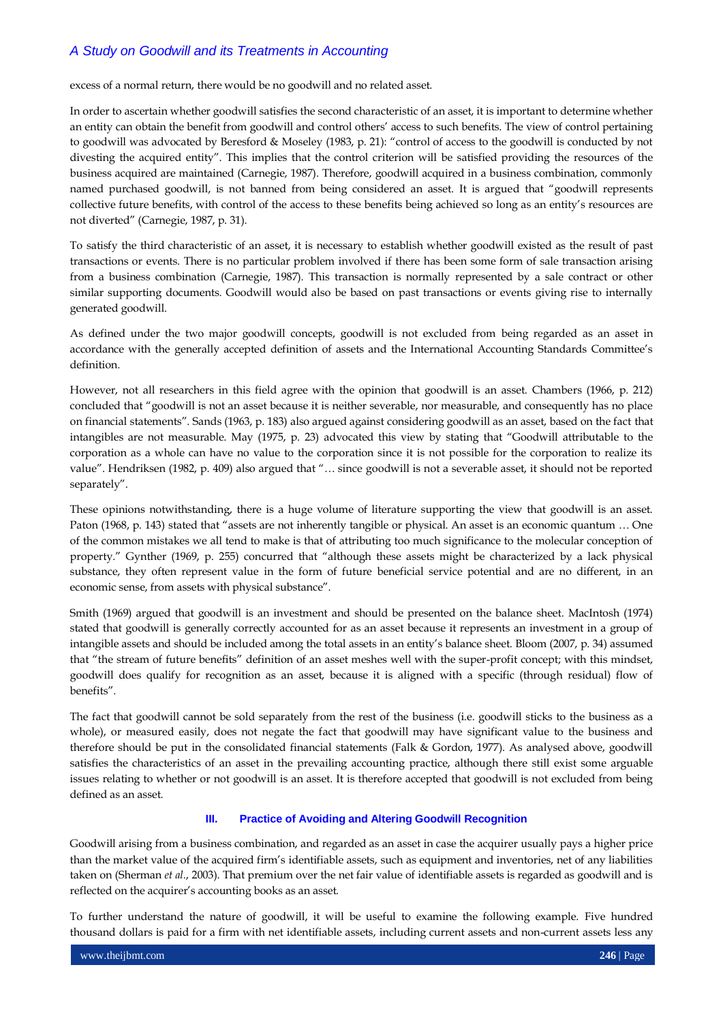excess of a normal return, there would be no goodwill and no related asset.

In order to ascertain whether goodwill satisfies the second characteristic of an asset, it is important to determine whether an entity can obtain the benefit from goodwill and control others" access to such benefits. The view of control pertaining to goodwill was advocated by Beresford & Moseley (1983, p. 21): "control of access to the goodwill is conducted by not divesting the acquired entity". This implies that the control criterion will be satisfied providing the resources of the business acquired are maintained (Carnegie, 1987). Therefore, goodwill acquired in a business combination, commonly named purchased goodwill, is not banned from being considered an asset. It is argued that "goodwill represents collective future benefits, with control of the access to these benefits being achieved so long as an entity"s resources are not diverted" (Carnegie, 1987, p. 31).

To satisfy the third characteristic of an asset, it is necessary to establish whether goodwill existed as the result of past transactions or events. There is no particular problem involved if there has been some form of sale transaction arising from a business combination (Carnegie, 1987). This transaction is normally represented by a sale contract or other similar supporting documents. Goodwill would also be based on past transactions or events giving rise to internally generated goodwill.

As defined under the two major goodwill concepts, goodwill is not excluded from being regarded as an asset in accordance with the generally accepted definition of assets and the International Accounting Standards Committee"s definition.

However, not all researchers in this field agree with the opinion that goodwill is an asset. Chambers (1966, p. 212) concluded that "goodwill is not an asset because it is neither severable, nor measurable, and consequently has no place on financial statements". Sands (1963, p. 183) also argued against considering goodwill as an asset, based on the fact that intangibles are not measurable. May (1975, p. 23) advocated this view by stating that "Goodwill attributable to the corporation as a whole can have no value to the corporation since it is not possible for the corporation to realize its value". Hendriksen (1982, p. 409) also argued that "… since goodwill is not a severable asset, it should not be reported separately".

These opinions notwithstanding, there is a huge volume of literature supporting the view that goodwill is an asset. Paton (1968, p. 143) stated that "assets are not inherently tangible or physical. An asset is an economic quantum … One of the common mistakes we all tend to make is that of attributing too much significance to the molecular conception of property." Gynther (1969, p. 255) concurred that "although these assets might be characterized by a lack physical substance, they often represent value in the form of future beneficial service potential and are no different, in an economic sense, from assets with physical substance".

Smith (1969) argued that goodwill is an investment and should be presented on the balance sheet. MacIntosh (1974) stated that goodwill is generally correctly accounted for as an asset because it represents an investment in a group of intangible assets and should be included among the total assets in an entity"s balance sheet. Bloom (2007, p. 34) assumed that "the stream of future benefits" definition of an asset meshes well with the super-profit concept; with this mindset, goodwill does qualify for recognition as an asset, because it is aligned with a specific (through residual) flow of benefits".

The fact that goodwill cannot be sold separately from the rest of the business (i.e. goodwill sticks to the business as a whole), or measured easily, does not negate the fact that goodwill may have significant value to the business and therefore should be put in the consolidated financial statements (Falk & Gordon, 1977). As analysed above, goodwill satisfies the characteristics of an asset in the prevailing accounting practice, although there still exist some arguable issues relating to whether or not goodwill is an asset. It is therefore accepted that goodwill is not excluded from being defined as an asset.

## **III. Practice of Avoiding and Altering Goodwill Recognition**

Goodwill arising from a business combination, and regarded as an asset in case the acquirer usually pays a higher price than the market value of the acquired firm"s identifiable assets, such as equipment and inventories, net of any liabilities taken on (Sherman *et al.*, 2003). That premium over the net fair value of identifiable assets is regarded as goodwill and is reflected on the acquirer's accounting books as an asset.

To further understand the nature of goodwill, it will be useful to examine the following example. Five hundred thousand dollars is paid for a firm with net identifiable assets, including current assets and non-current assets less any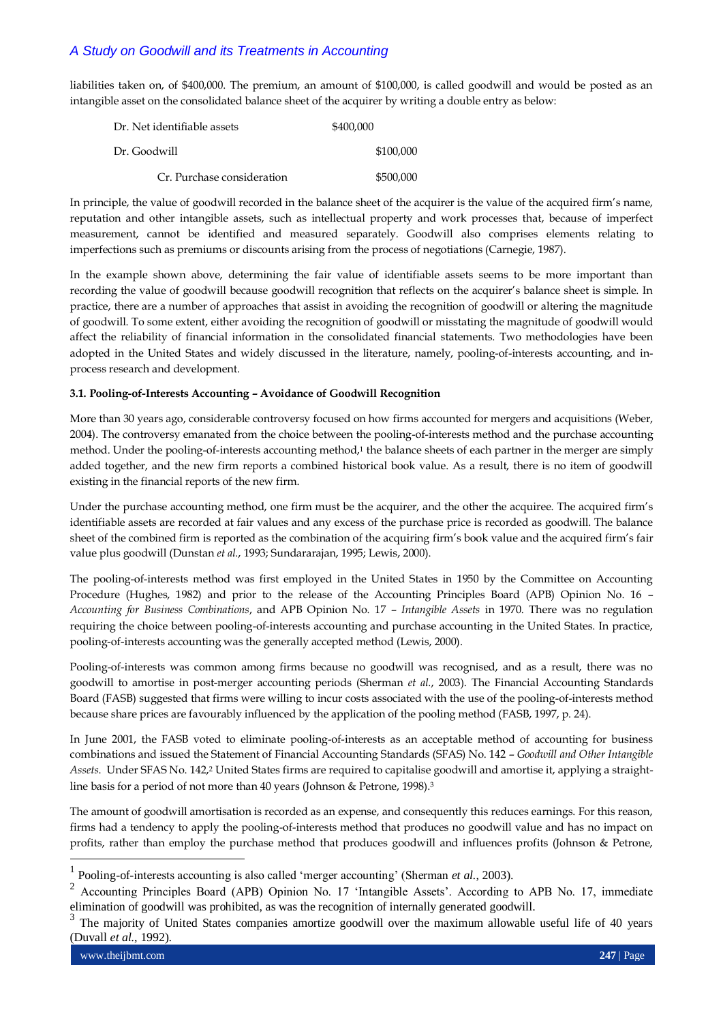liabilities taken on, of \$400,000. The premium, an amount of \$100,000, is called goodwill and would be posted as an intangible asset on the consolidated balance sheet of the acquirer by writing a double entry as below:

| Dr. Net identifiable assets | \$400,000 |
|-----------------------------|-----------|
| Dr. Goodwill                | \$100,000 |
| Cr. Purchase consideration  | \$500,000 |

In principle, the value of goodwill recorded in the balance sheet of the acquirer is the value of the acquired firm"s name, reputation and other intangible assets, such as intellectual property and work processes that, because of imperfect measurement, cannot be identified and measured separately. Goodwill also comprises elements relating to imperfections such as premiums or discounts arising from the process of negotiations (Carnegie, 1987).

In the example shown above, determining the fair value of identifiable assets seems to be more important than recording the value of goodwill because goodwill recognition that reflects on the acquirer"s balance sheet is simple. In practice, there are a number of approaches that assist in avoiding the recognition of goodwill or altering the magnitude of goodwill. To some extent, either avoiding the recognition of goodwill or misstating the magnitude of goodwill would affect the reliability of financial information in the consolidated financial statements. Two methodologies have been adopted in the United States and widely discussed in the literature, namely, pooling-of-interests accounting, and inprocess research and development.

#### **3.1. Pooling-of-Interests Accounting – Avoidance of Goodwill Recognition**

More than 30 years ago, considerable controversy focused on how firms accounted for mergers and acquisitions (Weber, 2004). The controversy emanated from the choice between the pooling-of-interests method and the purchase accounting method. Under the pooling-of-interests accounting method,<sup>1</sup> the balance sheets of each partner in the merger are simply added together, and the new firm reports a combined historical book value. As a result, there is no item of goodwill existing in the financial reports of the new firm.

Under the purchase accounting method, one firm must be the acquirer, and the other the acquiree. The acquired firm"s identifiable assets are recorded at fair values and any excess of the purchase price is recorded as goodwill. The balance sheet of the combined firm is reported as the combination of the acquiring firm"s book value and the acquired firm"s fair value plus goodwill (Dunstan *et al.*, 1993; Sundararajan, 1995; Lewis, 2000).

The pooling-of-interests method was first employed in the United States in 1950 by the Committee on Accounting Procedure (Hughes, 1982) and prior to the release of the Accounting Principles Board (APB) Opinion No. 16 – *Accounting for Business Combinations*, and APB Opinion No. 17 – *Intangible Assets* in 1970. There was no regulation requiring the choice between pooling-of-interests accounting and purchase accounting in the United States. In practice, pooling-of-interests accounting was the generally accepted method (Lewis, 2000).

Pooling-of-interests was common among firms because no goodwill was recognised, and as a result, there was no goodwill to amortise in post-merger accounting periods (Sherman *et al.*, 2003). The Financial Accounting Standards Board (FASB) suggested that firms were willing to incur costs associated with the use of the pooling-of-interests method because share prices are favourably influenced by the application of the pooling method (FASB, 1997, p. 24).

In June 2001, the FASB voted to eliminate pooling-of-interests as an acceptable method of accounting for business combinations and issued the Statement of Financial Accounting Standards (SFAS) No. 142 – *Goodwill and Other Intangible Assets*. Under SFAS No. 142,<sup>2</sup> United States firms are required to capitalise goodwill and amortise it, applying a straightline basis for a period of not more than 40 years (Johnson & Petrone, 1998).<sup>3</sup>

The amount of goodwill amortisation is recorded as an expense, and consequently this reduces earnings. For this reason, firms had a tendency to apply the pooling-of-interests method that produces no goodwill value and has no impact on profits, rather than employ the purchase method that produces goodwill and influences profits (Johnson & Petrone,

www.theijbmt.com **247** | Page

<sup>1</sup> Pooling-of-interests accounting is also called 'merger accounting' (Sherman *et al.*, 2003).

<sup>2</sup> Accounting Principles Board (APB) Opinion No. 17 'Intangible Assets'. According to APB No. 17, immediate elimination of goodwill was prohibited, as was the recognition of internally generated goodwill.<br><sup>3</sup> The maintim of United States semescules america, assumill such the manipum allowable

The majority of United States companies amortize goodwill over the maximum allowable useful life of 40 years (Duvall *et al.*, 1992).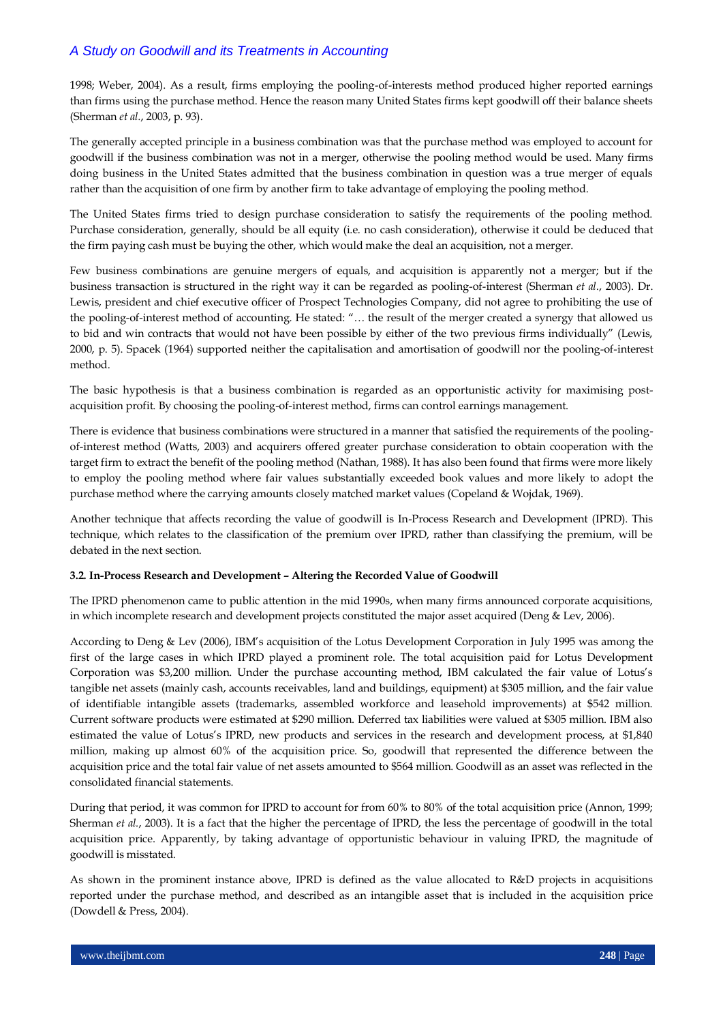1998; Weber, 2004). As a result, firms employing the pooling-of-interests method produced higher reported earnings than firms using the purchase method. Hence the reason many United States firms kept goodwill off their balance sheets (Sherman *et al.*, 2003, p. 93).

The generally accepted principle in a business combination was that the purchase method was employed to account for goodwill if the business combination was not in a merger, otherwise the pooling method would be used. Many firms doing business in the United States admitted that the business combination in question was a true merger of equals rather than the acquisition of one firm by another firm to take advantage of employing the pooling method.

The United States firms tried to design purchase consideration to satisfy the requirements of the pooling method. Purchase consideration, generally, should be all equity (i.e. no cash consideration), otherwise it could be deduced that the firm paying cash must be buying the other, which would make the deal an acquisition, not a merger.

Few business combinations are genuine mergers of equals, and acquisition is apparently not a merger; but if the business transaction is structured in the right way it can be regarded as pooling-of-interest (Sherman *et al.*, 2003). Dr. Lewis, president and chief executive officer of Prospect Technologies Company, did not agree to prohibiting the use of the pooling-of-interest method of accounting. He stated: "… the result of the merger created a synergy that allowed us to bid and win contracts that would not have been possible by either of the two previous firms individually" (Lewis, 2000, p. 5). Spacek (1964) supported neither the capitalisation and amortisation of goodwill nor the pooling-of-interest method.

The basic hypothesis is that a business combination is regarded as an opportunistic activity for maximising postacquisition profit. By choosing the pooling-of-interest method, firms can control earnings management.

There is evidence that business combinations were structured in a manner that satisfied the requirements of the poolingof-interest method (Watts, 2003) and acquirers offered greater purchase consideration to obtain cooperation with the target firm to extract the benefit of the pooling method (Nathan, 1988). It has also been found that firms were more likely to employ the pooling method where fair values substantially exceeded book values and more likely to adopt the purchase method where the carrying amounts closely matched market values (Copeland & Wojdak, 1969).

Another technique that affects recording the value of goodwill is In-Process Research and Development (IPRD). This technique, which relates to the classification of the premium over IPRD, rather than classifying the premium, will be debated in the next section.

## **3.2. In-Process Research and Development – Altering the Recorded Value of Goodwill**

The IPRD phenomenon came to public attention in the mid 1990s, when many firms announced corporate acquisitions, in which incomplete research and development projects constituted the major asset acquired (Deng & Lev, 2006).

According to Deng & Lev (2006), IBM"s acquisition of the Lotus Development Corporation in July 1995 was among the first of the large cases in which IPRD played a prominent role. The total acquisition paid for Lotus Development Corporation was \$3,200 million. Under the purchase accounting method, IBM calculated the fair value of Lotus"s tangible net assets (mainly cash, accounts receivables, land and buildings, equipment) at \$305 million, and the fair value of identifiable intangible assets (trademarks, assembled workforce and leasehold improvements) at \$542 million. Current software products were estimated at \$290 million. Deferred tax liabilities were valued at \$305 million. IBM also estimated the value of Lotus's IPRD, new products and services in the research and development process, at \$1,840 million, making up almost 60% of the acquisition price. So, goodwill that represented the difference between the acquisition price and the total fair value of net assets amounted to \$564 million. Goodwill as an asset was reflected in the consolidated financial statements.

During that period, it was common for IPRD to account for from 60% to 80% of the total acquisition price (Annon, 1999; Sherman *et al.*, 2003). It is a fact that the higher the percentage of IPRD, the less the percentage of goodwill in the total acquisition price. Apparently, by taking advantage of opportunistic behaviour in valuing IPRD, the magnitude of goodwill is misstated.

As shown in the prominent instance above, IPRD is defined as the value allocated to R&D projects in acquisitions reported under the purchase method, and described as an intangible asset that is included in the acquisition price (Dowdell & Press, 2004).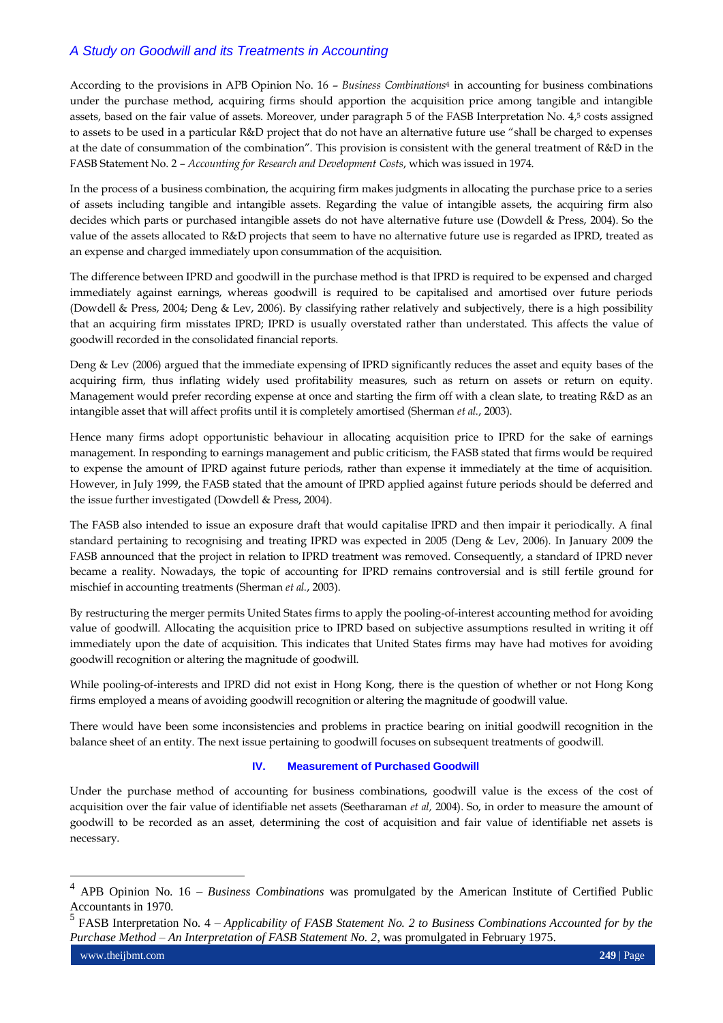According to the provisions in APB Opinion No. 16 – *Business Combinations*<sup>4</sup> in accounting for business combinations under the purchase method, acquiring firms should apportion the acquisition price among tangible and intangible assets, based on the fair value of assets. Moreover, under paragraph 5 of the FASB Interpretation No. 4, <sup>5</sup> costs assigned to assets to be used in a particular R&D project that do not have an alternative future use "shall be charged to expenses at the date of consummation of the combination". This provision is consistent with the general treatment of R&D in the FASB Statement No. 2 – *Accounting for Research and Development Costs*, which was issued in 1974.

In the process of a business combination, the acquiring firm makes judgments in allocating the purchase price to a series of assets including tangible and intangible assets. Regarding the value of intangible assets, the acquiring firm also decides which parts or purchased intangible assets do not have alternative future use (Dowdell & Press, 2004). So the value of the assets allocated to R&D projects that seem to have no alternative future use is regarded as IPRD, treated as an expense and charged immediately upon consummation of the acquisition.

The difference between IPRD and goodwill in the purchase method is that IPRD is required to be expensed and charged immediately against earnings, whereas goodwill is required to be capitalised and amortised over future periods (Dowdell & Press, 2004; Deng & Lev, 2006). By classifying rather relatively and subjectively, there is a high possibility that an acquiring firm misstates IPRD; IPRD is usually overstated rather than understated. This affects the value of goodwill recorded in the consolidated financial reports.

Deng & Lev (2006) argued that the immediate expensing of IPRD significantly reduces the asset and equity bases of the acquiring firm, thus inflating widely used profitability measures, such as return on assets or return on equity. Management would prefer recording expense at once and starting the firm off with a clean slate, to treating R&D as an intangible asset that will affect profits until it is completely amortised (Sherman *et al.*, 2003).

Hence many firms adopt opportunistic behaviour in allocating acquisition price to IPRD for the sake of earnings management. In responding to earnings management and public criticism, the FASB stated that firms would be required to expense the amount of IPRD against future periods, rather than expense it immediately at the time of acquisition. However, in July 1999, the FASB stated that the amount of IPRD applied against future periods should be deferred and the issue further investigated (Dowdell & Press, 2004).

The FASB also intended to issue an exposure draft that would capitalise IPRD and then impair it periodically. A final standard pertaining to recognising and treating IPRD was expected in 2005 (Deng & Lev, 2006). In January 2009 the FASB announced that the project in relation to IPRD treatment was removed. Consequently, a standard of IPRD never became a reality. Nowadays, the topic of accounting for IPRD remains controversial and is still fertile ground for mischief in accounting treatments (Sherman *et al.*, 2003).

By restructuring the merger permits United States firms to apply the pooling-of-interest accounting method for avoiding value of goodwill. Allocating the acquisition price to IPRD based on subjective assumptions resulted in writing it off immediately upon the date of acquisition. This indicates that United States firms may have had motives for avoiding goodwill recognition or altering the magnitude of goodwill.

While pooling-of-interests and IPRD did not exist in Hong Kong, there is the question of whether or not Hong Kong firms employed a means of avoiding goodwill recognition or altering the magnitude of goodwill value.

There would have been some inconsistencies and problems in practice bearing on initial goodwill recognition in the balance sheet of an entity. The next issue pertaining to goodwill focuses on subsequent treatments of goodwill.

## **IV. Measurement of Purchased Goodwill**

Under the purchase method of accounting for business combinations, goodwill value is the excess of the cost of acquisition over the fair value of identifiable net assets (Seetharaman *et al,* 2004). So, in order to measure the amount of goodwill to be recorded as an asset, determining the cost of acquisition and fair value of identifiable net assets is necessary.

<sup>4</sup> APB Opinion No. 16 – *Business Combinations* was promulgated by the American Institute of Certified Public Accountants in 1970.

FASB Interpretation No. 4 – *Applicability of FASB Statement No. 2 to Business Combinations Accounted for by the Purchase Method – An Interpretation of FASB Statement No. 2*, was promulgated in February 1975.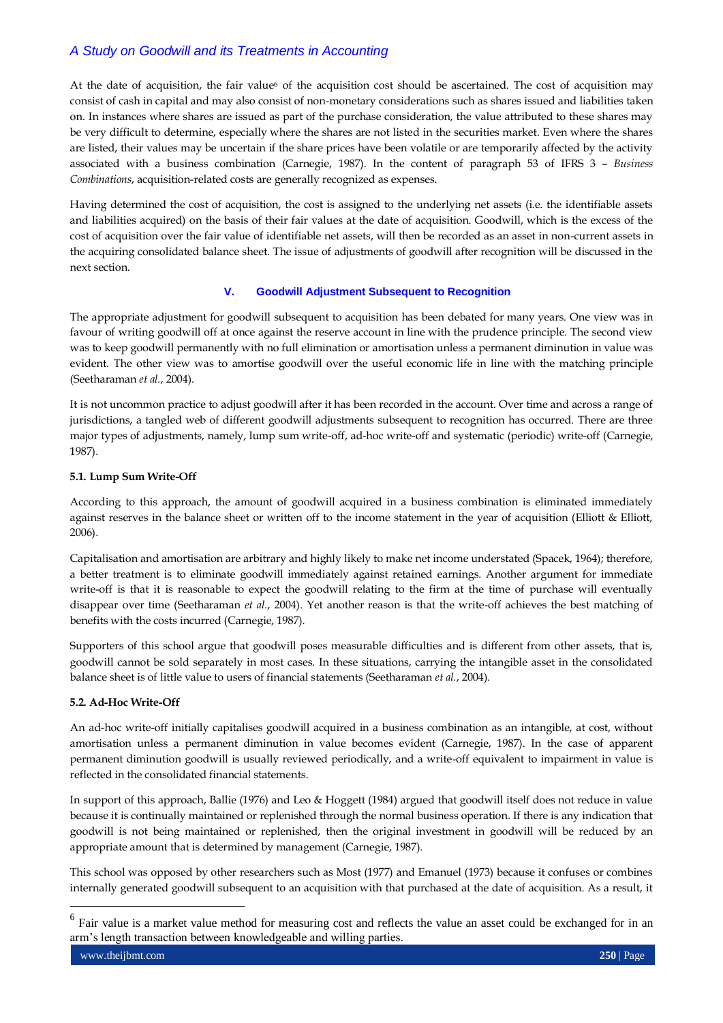At the date of acquisition, the fair value<sup>6</sup> of the acquisition cost should be ascertained. The cost of acquisition may consist of cash in capital and may also consist of non-monetary considerations such as shares issued and liabilities taken on. In instances where shares are issued as part of the purchase consideration, the value attributed to these shares may be very difficult to determine, especially where the shares are not listed in the securities market. Even where the shares are listed, their values may be uncertain if the share prices have been volatile or are temporarily affected by the activity associated with a business combination (Carnegie, 1987). In the content of paragraph 53 of IFRS 3 – *Business Combinations*, acquisition-related costs are generally recognized as expenses.

Having determined the cost of acquisition, the cost is assigned to the underlying net assets (i.e. the identifiable assets and liabilities acquired) on the basis of their fair values at the date of acquisition. Goodwill, which is the excess of the cost of acquisition over the fair value of identifiable net assets, will then be recorded as an asset in non-current assets in the acquiring consolidated balance sheet. The issue of adjustments of goodwill after recognition will be discussed in the next section.

## **V. Goodwill Adjustment Subsequent to Recognition**

The appropriate adjustment for goodwill subsequent to acquisition has been debated for many years. One view was in favour of writing goodwill off at once against the reserve account in line with the prudence principle. The second view was to keep goodwill permanently with no full elimination or amortisation unless a permanent diminution in value was evident. The other view was to amortise goodwill over the useful economic life in line with the matching principle (Seetharaman *et al.*, 2004).

It is not uncommon practice to adjust goodwill after it has been recorded in the account. Over time and across a range of jurisdictions, a tangled web of different goodwill adjustments subsequent to recognition has occurred. There are three major types of adjustments, namely, lump sum write-off, ad-hoc write-off and systematic (periodic) write-off (Carnegie, 1987).

#### **5.1. Lump Sum Write-Off**

According to this approach, the amount of goodwill acquired in a business combination is eliminated immediately against reserves in the balance sheet or written off to the income statement in the year of acquisition (Elliott & Elliott, 2006).

Capitalisation and amortisation are arbitrary and highly likely to make net income understated (Spacek, 1964); therefore, a better treatment is to eliminate goodwill immediately against retained earnings. Another argument for immediate write-off is that it is reasonable to expect the goodwill relating to the firm at the time of purchase will eventually disappear over time (Seetharaman *et al.*, 2004). Yet another reason is that the write-off achieves the best matching of benefits with the costs incurred (Carnegie, 1987).

Supporters of this school argue that goodwill poses measurable difficulties and is different from other assets, that is, goodwill cannot be sold separately in most cases. In these situations, carrying the intangible asset in the consolidated balance sheet is of little value to users of financial statements (Seetharaman *et al.*, 2004).

## **5.2. Ad-Hoc Write-Off**

An ad-hoc write-off initially capitalises goodwill acquired in a business combination as an intangible, at cost, without amortisation unless a permanent diminution in value becomes evident (Carnegie, 1987). In the case of apparent permanent diminution goodwill is usually reviewed periodically, and a write-off equivalent to impairment in value is reflected in the consolidated financial statements.

In support of this approach, Ballie (1976) and Leo & Hoggett (1984) argued that goodwill itself does not reduce in value because it is continually maintained or replenished through the normal business operation. If there is any indication that goodwill is not being maintained or replenished, then the original investment in goodwill will be reduced by an appropriate amount that is determined by management (Carnegie, 1987).

This school was opposed by other researchers such as Most (1977) and Emanuel (1973) because it confuses or combines internally generated goodwill subsequent to an acquisition with that purchased at the date of acquisition. As a result, it

<sup>6</sup> Fair value is a market value method for measuring cost and reflects the value an asset could be exchanged for in an arm's length transaction between knowledgeable and willing parties.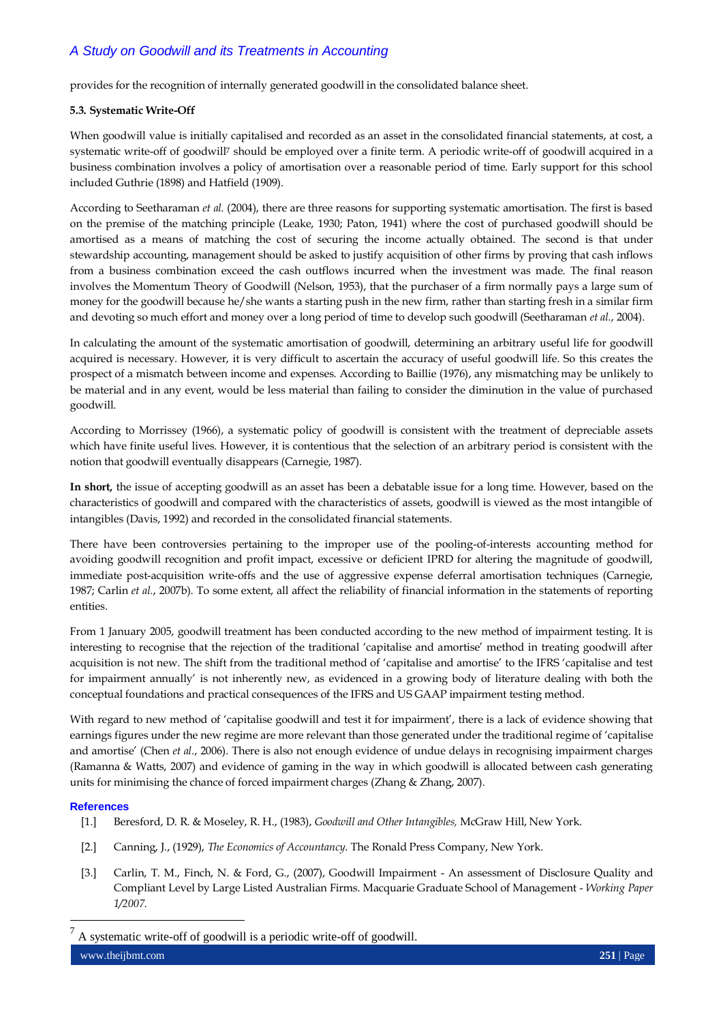provides for the recognition of internally generated goodwill in the consolidated balance sheet.

#### **5.3. Systematic Write-Off**

When goodwill value is initially capitalised and recorded as an asset in the consolidated financial statements, at cost, a systematic write-off of goodwill<sup>7</sup> should be employed over a finite term. A periodic write-off of goodwill acquired in a business combination involves a policy of amortisation over a reasonable period of time. Early support for this school included Guthrie (1898) and Hatfield (1909).

According to Seetharaman *et al.* (2004), there are three reasons for supporting systematic amortisation. The first is based on the premise of the matching principle (Leake, 1930; Paton, 1941) where the cost of purchased goodwill should be amortised as a means of matching the cost of securing the income actually obtained. The second is that under stewardship accounting, management should be asked to justify acquisition of other firms by proving that cash inflows from a business combination exceed the cash outflows incurred when the investment was made. The final reason involves the Momentum Theory of Goodwill (Nelson, 1953), that the purchaser of a firm normally pays a large sum of money for the goodwill because he/she wants a starting push in the new firm, rather than starting fresh in a similar firm and devoting so much effort and money over a long period of time to develop such goodwill (Seetharaman *et al.*, 2004).

In calculating the amount of the systematic amortisation of goodwill, determining an arbitrary useful life for goodwill acquired is necessary. However, it is very difficult to ascertain the accuracy of useful goodwill life. So this creates the prospect of a mismatch between income and expenses. According to Baillie (1976), any mismatching may be unlikely to be material and in any event, would be less material than failing to consider the diminution in the value of purchased goodwill.

According to Morrissey (1966), a systematic policy of goodwill is consistent with the treatment of depreciable assets which have finite useful lives. However, it is contentious that the selection of an arbitrary period is consistent with the notion that goodwill eventually disappears (Carnegie, 1987).

**In short,** the issue of accepting goodwill as an asset has been a debatable issue for a long time. However, based on the characteristics of goodwill and compared with the characteristics of assets, goodwill is viewed as the most intangible of intangibles (Davis, 1992) and recorded in the consolidated financial statements.

There have been controversies pertaining to the improper use of the pooling-of-interests accounting method for avoiding goodwill recognition and profit impact, excessive or deficient IPRD for altering the magnitude of goodwill, immediate post-acquisition write-offs and the use of aggressive expense deferral amortisation techniques (Carnegie, 1987; Carlin *et al.*, 2007b). To some extent, all affect the reliability of financial information in the statements of reporting entities.

From 1 January 2005, goodwill treatment has been conducted according to the new method of impairment testing. It is interesting to recognise that the rejection of the traditional "capitalise and amortise" method in treating goodwill after acquisition is not new. The shift from the traditional method of "capitalise and amortise" to the IFRS "capitalise and test for impairment annually" is not inherently new, as evidenced in a growing body of literature dealing with both the conceptual foundations and practical consequences of the IFRS and US GAAP impairment testing method.

With regard to new method of 'capitalise goodwill and test it for impairment', there is a lack of evidence showing that earnings figures under the new regime are more relevant than those generated under the traditional regime of "capitalise and amortise" (Chen *et al.*, 2006). There is also not enough evidence of undue delays in recognising impairment charges (Ramanna & Watts, 2007) and evidence of gaming in the way in which goodwill is allocated between cash generating units for minimising the chance of forced impairment charges (Zhang & Zhang, 2007).

#### **References**

- [1.] Beresford, D. R. & Moseley, R. H., (1983), *Goodwill and Other Intangibles,* McGraw Hill, New York.
- [2.] Canning, J., (1929), *The Economics of Accountancy*. The Ronald Press Company, New York.
- [3.] Carlin, T. M., Finch, N. & Ford, G., (2007), Goodwill Impairment An assessment of Disclosure Quality and Compliant Level by Large Listed Australian Firms. Macquarie Graduate School of Management - *Working Paper 1/2007*.

www.theijbmt.com **251** | Page 7 A systematic write-off of goodwill is a periodic write-off of goodwill.